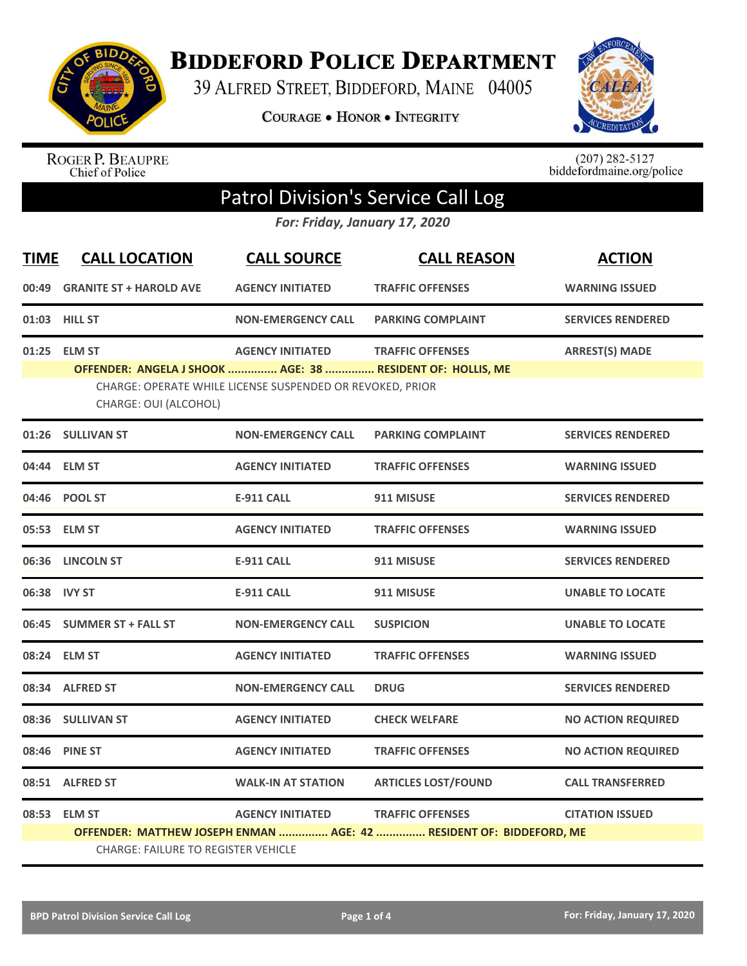

**BIDDEFORD POLICE DEPARTMENT** 

39 ALFRED STREET, BIDDEFORD, MAINE 04005

**COURAGE . HONOR . INTEGRITY** 



ROGER P. BEAUPRE<br>Chief of Police

 $(207)$  282-5127<br>biddefordmaine.org/police

## Patrol Division's Service Call Log

*For: Friday, January 17, 2020*

| <b>TIME</b> | <b>CALL LOCATION</b>                                                                | <b>CALL SOURCE</b>                                        | <b>CALL REASON</b>                                                  | <b>ACTION</b>             |
|-------------|-------------------------------------------------------------------------------------|-----------------------------------------------------------|---------------------------------------------------------------------|---------------------------|
| 00:49       | <b>GRANITE ST + HAROLD AVE</b>                                                      | <b>AGENCY INITIATED</b>                                   | <b>TRAFFIC OFFENSES</b>                                             | <b>WARNING ISSUED</b>     |
|             | 01:03 HILL ST                                                                       | <b>NON-EMERGENCY CALL</b>                                 | <b>PARKING COMPLAINT</b>                                            | <b>SERVICES RENDERED</b>  |
| 01:25       | <b>ELM ST</b>                                                                       | <b>AGENCY INITIATED</b>                                   | <b>TRAFFIC OFFENSES</b>                                             | <b>ARREST(S) MADE</b>     |
|             | OFFENDER: ANGELA J SHOOK  AGE: 38  RESIDENT OF: HOLLIS, ME<br>CHARGE: OUI (ALCOHOL) | CHARGE: OPERATE WHILE LICENSE SUSPENDED OR REVOKED, PRIOR |                                                                     |                           |
|             | 01:26 SULLIVAN ST                                                                   | <b>NON-EMERGENCY CALL</b>                                 | <b>PARKING COMPLAINT</b>                                            | <b>SERVICES RENDERED</b>  |
|             | 04:44 ELM ST                                                                        | <b>AGENCY INITIATED</b>                                   | <b>TRAFFIC OFFENSES</b>                                             | <b>WARNING ISSUED</b>     |
|             | 04:46 POOL ST                                                                       | <b>E-911 CALL</b>                                         | 911 MISUSE                                                          | <b>SERVICES RENDERED</b>  |
|             | 05:53 ELM ST                                                                        | <b>AGENCY INITIATED</b>                                   | <b>TRAFFIC OFFENSES</b>                                             | <b>WARNING ISSUED</b>     |
|             | 06:36 LINCOLN ST                                                                    | <b>E-911 CALL</b>                                         | 911 MISUSE                                                          | <b>SERVICES RENDERED</b>  |
|             | 06:38 IVY ST                                                                        | <b>E-911 CALL</b>                                         | 911 MISUSE                                                          | <b>UNABLE TO LOCATE</b>   |
| 06:45       | <b>SUMMER ST + FALL ST</b>                                                          | <b>NON-EMERGENCY CALL</b>                                 | <b>SUSPICION</b>                                                    | <b>UNABLE TO LOCATE</b>   |
|             | 08:24 ELM ST                                                                        | <b>AGENCY INITIATED</b>                                   | <b>TRAFFIC OFFENSES</b>                                             | <b>WARNING ISSUED</b>     |
|             | 08:34 ALFRED ST                                                                     | <b>NON-EMERGENCY CALL</b>                                 | <b>DRUG</b>                                                         | <b>SERVICES RENDERED</b>  |
|             | 08:36 SULLIVAN ST                                                                   | <b>AGENCY INITIATED</b>                                   | <b>CHECK WELFARE</b>                                                | <b>NO ACTION REQUIRED</b> |
| 08:46       | <b>PINE ST</b>                                                                      | <b>AGENCY INITIATED</b>                                   | <b>TRAFFIC OFFENSES</b>                                             | <b>NO ACTION REQUIRED</b> |
|             | 08:51 ALFRED ST                                                                     | <b>WALK-IN AT STATION</b>                                 | <b>ARTICLES LOST/FOUND</b>                                          | <b>CALL TRANSFERRED</b>   |
|             | 08:53 ELM ST                                                                        | <b>AGENCY INITIATED</b>                                   | <b>TRAFFIC OFFENSES</b>                                             | <b>CITATION ISSUED</b>    |
|             | <b>CHARGE: FAILURE TO REGISTER VEHICLE</b>                                          |                                                           | OFFENDER: MATTHEW JOSEPH ENMAN  AGE: 42  RESIDENT OF: BIDDEFORD, ME |                           |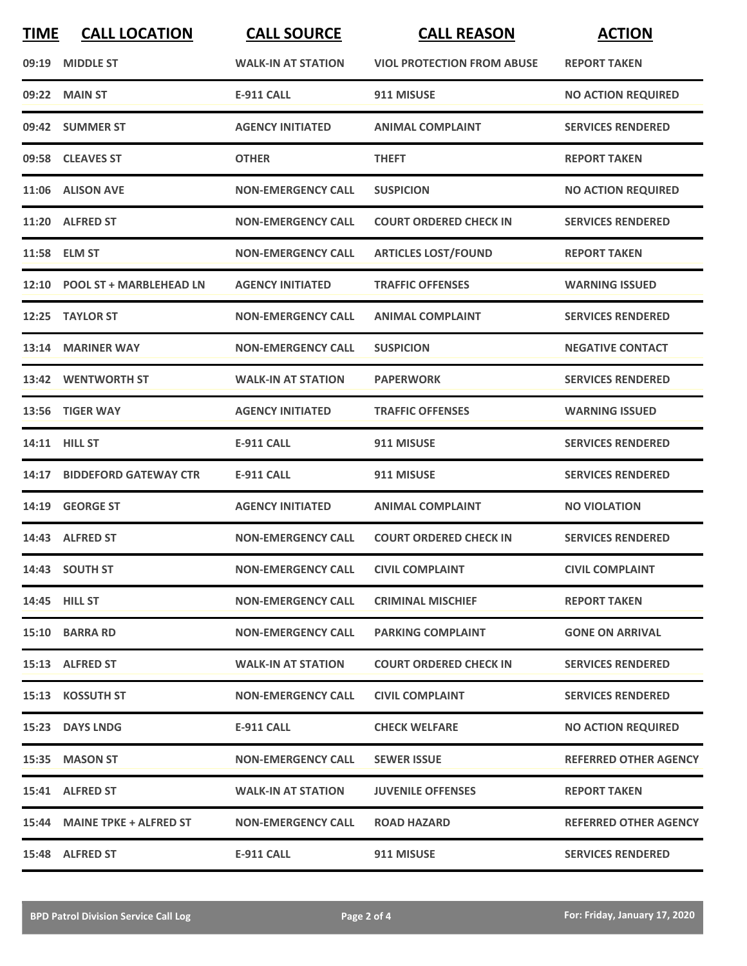| <b>TIME</b> | <b>CALL LOCATION</b>          | <b>CALL SOURCE</b>        | <b>CALL REASON</b>                | <b>ACTION</b>                |
|-------------|-------------------------------|---------------------------|-----------------------------------|------------------------------|
| 09:19       | <b>MIDDLE ST</b>              | <b>WALK-IN AT STATION</b> | <b>VIOL PROTECTION FROM ABUSE</b> | <b>REPORT TAKEN</b>          |
|             | 09:22 MAIN ST                 | <b>E-911 CALL</b>         | 911 MISUSE                        | <b>NO ACTION REQUIRED</b>    |
|             | 09:42 SUMMER ST               | <b>AGENCY INITIATED</b>   | <b>ANIMAL COMPLAINT</b>           | <b>SERVICES RENDERED</b>     |
|             | 09:58 CLEAVES ST              | <b>OTHER</b>              | <b>THEFT</b>                      | <b>REPORT TAKEN</b>          |
|             | 11:06 ALISON AVE              | <b>NON-EMERGENCY CALL</b> | <b>SUSPICION</b>                  | <b>NO ACTION REQUIRED</b>    |
|             | 11:20 ALFRED ST               | <b>NON-EMERGENCY CALL</b> | <b>COURT ORDERED CHECK IN</b>     | <b>SERVICES RENDERED</b>     |
|             | 11:58 ELM ST                  | <b>NON-EMERGENCY CALL</b> | <b>ARTICLES LOST/FOUND</b>        | <b>REPORT TAKEN</b>          |
|             | 12:10 POOL ST + MARBLEHEAD LN | <b>AGENCY INITIATED</b>   | <b>TRAFFIC OFFENSES</b>           | <b>WARNING ISSUED</b>        |
| 12:25       | <b>TAYLOR ST</b>              | <b>NON-EMERGENCY CALL</b> | <b>ANIMAL COMPLAINT</b>           | <b>SERVICES RENDERED</b>     |
| 13:14       | <b>MARINER WAY</b>            | <b>NON-EMERGENCY CALL</b> | <b>SUSPICION</b>                  | <b>NEGATIVE CONTACT</b>      |
|             | 13:42 WENTWORTH ST            | <b>WALK-IN AT STATION</b> | <b>PAPERWORK</b>                  | <b>SERVICES RENDERED</b>     |
| 13:56       | <b>TIGER WAY</b>              | <b>AGENCY INITIATED</b>   | <b>TRAFFIC OFFENSES</b>           | <b>WARNING ISSUED</b>        |
|             | 14:11 HILL ST                 | <b>E-911 CALL</b>         | 911 MISUSE                        | <b>SERVICES RENDERED</b>     |
| 14:17       | <b>BIDDEFORD GATEWAY CTR</b>  | <b>E-911 CALL</b>         | 911 MISUSE                        | <b>SERVICES RENDERED</b>     |
| 14:19       | <b>GEORGE ST</b>              | <b>AGENCY INITIATED</b>   | <b>ANIMAL COMPLAINT</b>           | <b>NO VIOLATION</b>          |
|             | 14:43 ALFRED ST               | <b>NON-EMERGENCY CALL</b> | <b>COURT ORDERED CHECK IN</b>     | <b>SERVICES RENDERED</b>     |
|             | 14:43 SOUTH ST                | <b>NON-EMERGENCY CALL</b> | <b>CIVIL COMPLAINT</b>            | <b>CIVIL COMPLAINT</b>       |
|             | 14:45 HILL ST                 | <b>NON-EMERGENCY CALL</b> | <b>CRIMINAL MISCHIEF</b>          | <b>REPORT TAKEN</b>          |
|             | 15:10 BARRA RD                | <b>NON-EMERGENCY CALL</b> | <b>PARKING COMPLAINT</b>          | <b>GONE ON ARRIVAL</b>       |
|             | 15:13 ALFRED ST               | <b>WALK-IN AT STATION</b> | <b>COURT ORDERED CHECK IN</b>     | <b>SERVICES RENDERED</b>     |
|             | 15:13 KOSSUTH ST              | <b>NON-EMERGENCY CALL</b> | <b>CIVIL COMPLAINT</b>            | <b>SERVICES RENDERED</b>     |
|             | 15:23 DAYS LNDG               | E-911 CALL                | <b>CHECK WELFARE</b>              | <b>NO ACTION REQUIRED</b>    |
|             | 15:35 MASON ST                | <b>NON-EMERGENCY CALL</b> | <b>SEWER ISSUE</b>                | <b>REFERRED OTHER AGENCY</b> |
|             | 15:41 ALFRED ST               | <b>WALK-IN AT STATION</b> | <b>JUVENILE OFFENSES</b>          | <b>REPORT TAKEN</b>          |
|             | 15:44 MAINE TPKE + ALFRED ST  | <b>NON-EMERGENCY CALL</b> | <b>ROAD HAZARD</b>                | <b>REFERRED OTHER AGENCY</b> |
|             | 15:48 ALFRED ST               | <b>E-911 CALL</b>         | 911 MISUSE                        | <b>SERVICES RENDERED</b>     |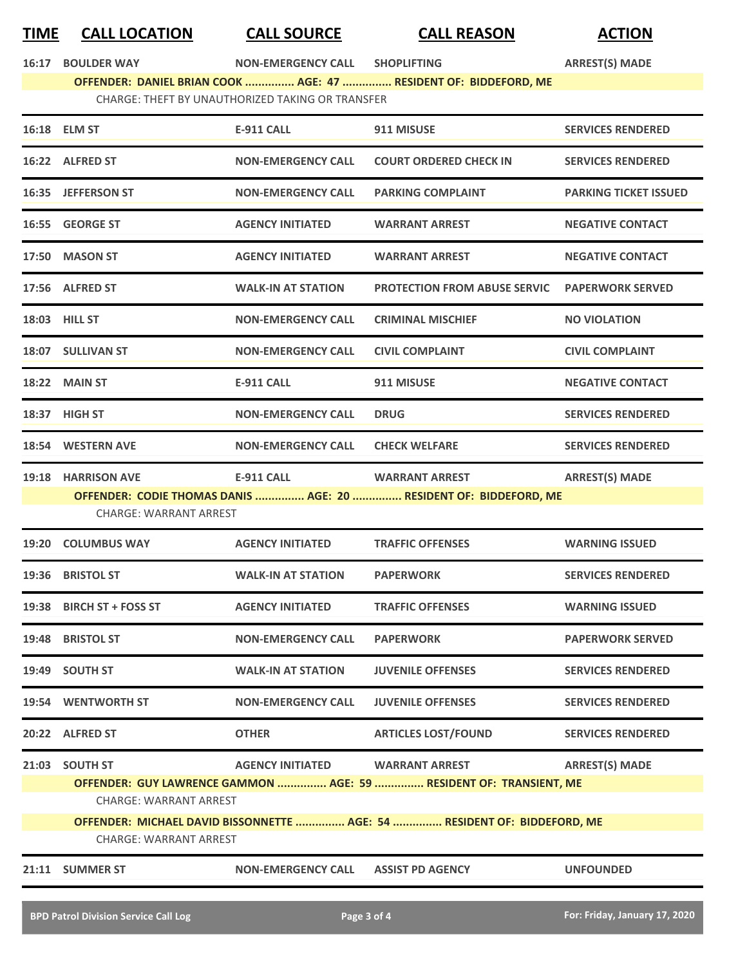## **TIME CALL LOCATION CALL SOURCE CALL REASON ACTION**

**16:17 BOULDER WAY NON-EMERGENCY CALL SHOPLIFTING ARREST(S) MADE**

**OFFENDER: DANIEL BRIAN COOK ............... AGE: 47 ............... RESIDENT OF: BIDDEFORD, ME** CHARGE: THEFT BY UNAUTHORIZED TAKING OR TRANSFER

|       | 16:18 ELM ST                                                                                              | <b>E-911 CALL</b>         | 911 MISUSE                                                                                  | <b>SERVICES RENDERED</b>     |
|-------|-----------------------------------------------------------------------------------------------------------|---------------------------|---------------------------------------------------------------------------------------------|------------------------------|
|       | 16:22 ALFRED ST                                                                                           | <b>NON-EMERGENCY CALL</b> | <b>COURT ORDERED CHECK IN</b>                                                               | <b>SERVICES RENDERED</b>     |
|       | 16:35 JEFFERSON ST                                                                                        | <b>NON-EMERGENCY CALL</b> | <b>PARKING COMPLAINT</b>                                                                    | <b>PARKING TICKET ISSUED</b> |
|       | 16:55 GEORGE ST                                                                                           | <b>AGENCY INITIATED</b>   | <b>WARRANT ARREST</b>                                                                       | <b>NEGATIVE CONTACT</b>      |
|       | 17:50 MASON ST                                                                                            | <b>AGENCY INITIATED</b>   | <b>WARRANT ARREST</b>                                                                       | <b>NEGATIVE CONTACT</b>      |
|       | 17:56 ALFRED ST                                                                                           | <b>WALK-IN AT STATION</b> | <b>PROTECTION FROM ABUSE SERVIC</b>                                                         | <b>PAPERWORK SERVED</b>      |
|       | 18:03 HILL ST                                                                                             | <b>NON-EMERGENCY CALL</b> | <b>CRIMINAL MISCHIEF</b>                                                                    | <b>NO VIOLATION</b>          |
|       | 18:07 SULLIVAN ST                                                                                         | <b>NON-EMERGENCY CALL</b> | <b>CIVIL COMPLAINT</b>                                                                      | <b>CIVIL COMPLAINT</b>       |
|       | 18:22 MAIN ST                                                                                             | <b>E-911 CALL</b>         | 911 MISUSE                                                                                  | <b>NEGATIVE CONTACT</b>      |
|       | 18:37 HIGH ST                                                                                             | <b>NON-EMERGENCY CALL</b> | <b>DRUG</b>                                                                                 | <b>SERVICES RENDERED</b>     |
|       | 18:54 WESTERN AVE                                                                                         | <b>NON-EMERGENCY CALL</b> | <b>CHECK WELFARE</b>                                                                        | <b>SERVICES RENDERED</b>     |
|       | 19:18 HARRISON AVE                                                                                        | <b>E-911 CALL</b>         | <b>WARRANT ARREST</b><br>OFFENDER: CODIE THOMAS DANIS  AGE: 20  RESIDENT OF: BIDDEFORD, ME  | <b>ARREST(S) MADE</b>        |
|       | <b>CHARGE: WARRANT ARREST</b>                                                                             |                           |                                                                                             |                              |
|       | 19:20 COLUMBUS WAY                                                                                        | <b>AGENCY INITIATED</b>   | <b>TRAFFIC OFFENSES</b>                                                                     | <b>WARNING ISSUED</b>        |
| 19:36 | <b>BRISTOL ST</b>                                                                                         | <b>WALK-IN AT STATION</b> | <b>PAPERWORK</b>                                                                            | <b>SERVICES RENDERED</b>     |
|       | 19:38 BIRCH ST + FOSS ST                                                                                  | <b>AGENCY INITIATED</b>   | <b>TRAFFIC OFFENSES</b>                                                                     | <b>WARNING ISSUED</b>        |
|       | 19:48 BRISTOL ST                                                                                          | <b>NON-EMERGENCY CALL</b> | <b>PAPERWORK</b>                                                                            | <b>PAPERWORK SERVED</b>      |
|       | 19:49 SOUTH ST                                                                                            | <b>WALK-IN AT STATION</b> | <b>JUVENILE OFFENSES</b>                                                                    | <b>SERVICES RENDERED</b>     |
|       | 19:54 WENTWORTH ST                                                                                        | <b>NON-EMERGENCY CALL</b> | <b>JUVENILE OFFENSES</b>                                                                    | <b>SERVICES RENDERED</b>     |
|       | 20:22 ALFRED ST                                                                                           | <b>OTHER</b>              | <b>ARTICLES LOST/FOUND</b>                                                                  | <b>SERVICES RENDERED</b>     |
|       | 21:03 SOUTH ST<br><b>CHARGE: WARRANT ARREST</b>                                                           | <b>AGENCY INITIATED</b>   | <b>WARRANT ARREST</b><br>OFFENDER: GUY LAWRENCE GAMMON  AGE: 59  RESIDENT OF: TRANSIENT, ME | <b>ARREST(S) MADE</b>        |
|       | OFFENDER: MICHAEL DAVID BISSONNETTE  AGE: 54  RESIDENT OF: BIDDEFORD, ME<br><b>CHARGE: WARRANT ARREST</b> |                           |                                                                                             |                              |
|       | 21:11 SUMMER ST                                                                                           | <b>NON-EMERGENCY CALL</b> | <b>ASSIST PD AGENCY</b>                                                                     | <b>UNFOUNDED</b>             |